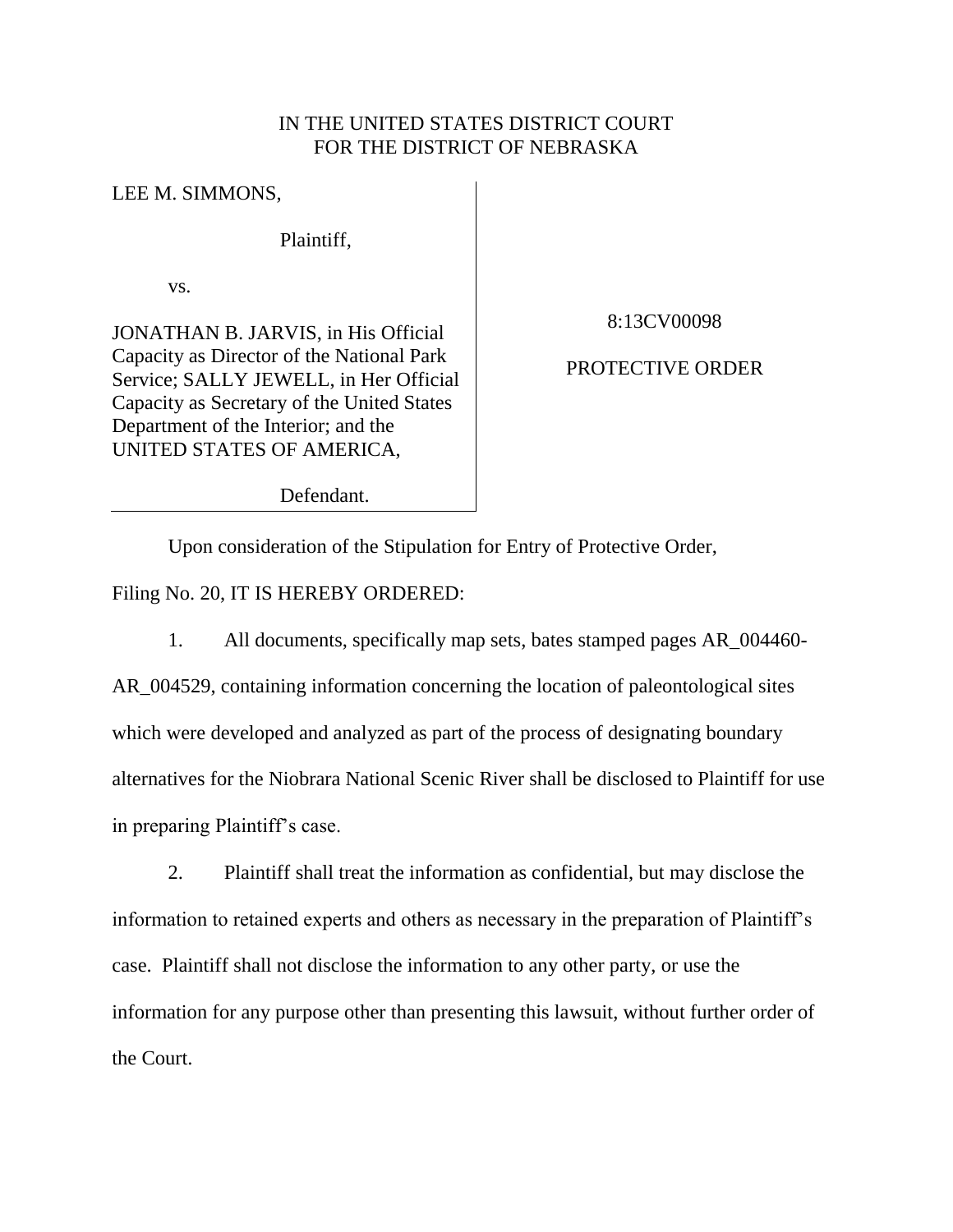## IN THE UNITED STATES DISTRICT COURT FOR THE DISTRICT OF NEBRASKA

LEE M. SIMMONS,

Plaintiff,

vs.

JONATHAN B. JARVIS, in His Official Capacity as Director of the National Park Service; SALLY JEWELL, in Her Official Capacity as Secretary of the United States Department of the Interior; and the UNITED STATES OF AMERICA,

8:13CV00098

## PROTECTIVE ORDER

Defendant.

Upon consideration of the Stipulation for Entry of Protective Order,

Filing No. 20, IT IS HEREBY ORDERED:

1. All documents, specifically map sets, bates stamped pages AR\_004460-

AR\_004529, containing information concerning the location of paleontological sites which were developed and analyzed as part of the process of designating boundary alternatives for the Niobrara National Scenic River shall be disclosed to Plaintiff for use in preparing Plaintiff's case.

2. Plaintiff shall treat the information as confidential, but may disclose the information to retained experts and others as necessary in the preparation of Plaintiff's case. Plaintiff shall not disclose the information to any other party, or use the information for any purpose other than presenting this lawsuit, without further order of the Court.